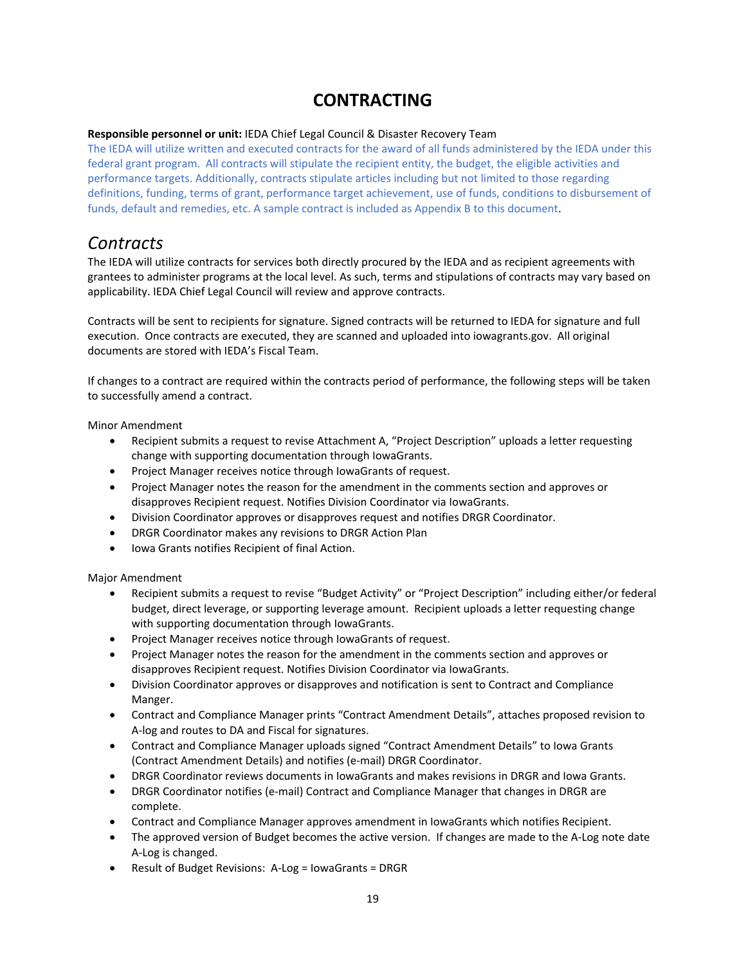## **CONTRACTING**

## **Responsible personnel or unit:** IEDA Chief Legal Council & Disaster Recovery Team

The IEDA will utilize written and executed contracts for the award of all funds administered by the IEDA under this federal grant program. All contracts will stipulate the recipient entity, the budget, the eligible activities and performance targets. Additionally, contracts stipulate articles including but not limited to those regarding definitions, funding, terms of grant, performance target achievement, use of funds, conditions to disbursement of funds, default and remedies, etc. A sample contract is included as Appendix B to this document.

## *Contracts*

The IEDA will utilize contracts for services both directly procured by the IEDA and as recipient agreements with grantees to administer programs at the local level. As such, terms and stipulations of contracts may vary based on applicability. IEDA Chief Legal Council will review and approve contracts.

Contracts will be sent to recipients for signature. Signed contracts will be returned to IEDA for signature and full execution. Once contracts are executed, they are scanned and uploaded into iowagrants.gov. All original documents are stored with IEDA's Fiscal Team.

If changes to a contract are required within the contracts period of performance, the following steps will be taken to successfully amend a contract.

Minor Amendment

- Recipient submits a request to revise Attachment A, "Project Description" uploads a letter requesting change with supporting documentation through IowaGrants.
- Project Manager receives notice through IowaGrants of request.
- Project Manager notes the reason for the amendment in the comments section and approves or disapproves Recipient request. Notifies Division Coordinator via IowaGrants.
- Division Coordinator approves or disapproves request and notifies DRGR Coordinator.
- DRGR Coordinator makes any revisions to DRGR Action Plan
- Iowa Grants notifies Recipient of final Action.

Major Amendment

- Recipient submits a request to revise "Budget Activity" or "Project Description" including either/or federal budget, direct leverage, or supporting leverage amount. Recipient uploads a letter requesting change with supporting documentation through IowaGrants.
- Project Manager receives notice through IowaGrants of request.
- Project Manager notes the reason for the amendment in the comments section and approves or disapproves Recipient request. Notifies Division Coordinator via IowaGrants.
- Division Coordinator approves or disapproves and notification is sent to Contract and Compliance Manger.
- Contract and Compliance Manager prints "Contract Amendment Details", attaches proposed revision to A‐log and routes to DA and Fiscal for signatures.
- Contract and Compliance Manager uploads signed "Contract Amendment Details" to Iowa Grants (Contract Amendment Details) and notifies (e‐mail) DRGR Coordinator.
- DRGR Coordinator reviews documents in IowaGrants and makes revisions in DRGR and Iowa Grants.
- DRGR Coordinator notifies (e-mail) Contract and Compliance Manager that changes in DRGR are complete.
- Contract and Compliance Manager approves amendment in IowaGrants which notifies Recipient.
- The approved version of Budget becomes the active version. If changes are made to the A-Log note date A‐Log is changed.
- Result of Budget Revisions: A-Log = IowaGrants = DRGR